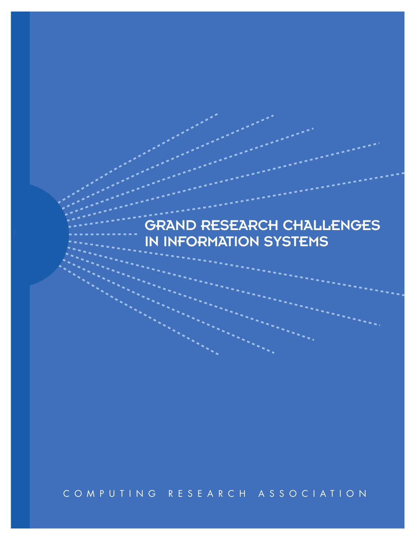# GRAND RESEARCH CHALLENGES IN INFORMATION SYSTEMS

COMPUTING RESEARCH ASSOCIATION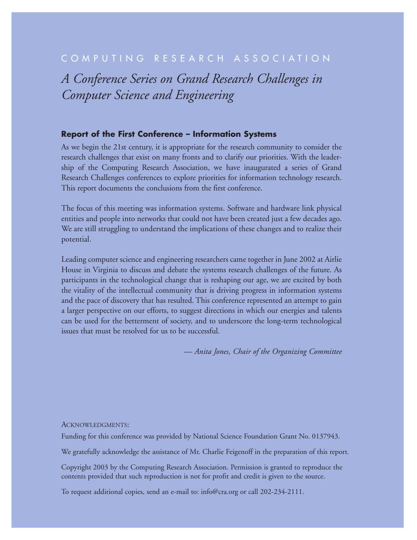# COMPUTING RESEARCH ASSOCIATION

*A Conference Series on Grand Research Challenges in Computer Science and Engineering*

#### **Report of the First Conference – Information Systems**

As we begin the 21st century, it is appropriate for the research community to consider the research challenges that exist on many fronts and to clarify our priorities. With the leadership of the Computing Research Association, we have inaugurated a series of Grand Research Challenges conferences to explore priorities for information technology research. This report documents the conclusions from the first conference.

The focus of this meeting was information systems. Software and hardware link physical entities and people into networks that could not have been created just a few decades ago. We are still struggling to understand the implications of these changes and to realize their potential.

Leading computer science and engineering researchers came together in June 2002 at Airlie House in Virginia to discuss and debate the systems research challenges of the future. As participants in the technological change that is reshaping our age, we are excited by both the vitality of the intellectual community that is driving progress in information systems and the pace of discovery that has resulted. This conference represented an attempt to gain a larger perspective on our efforts, to suggest directions in which our energies and talents can be used for the betterment of society, and to underscore the long-term technological issues that must be resolved for us to be successful.

*— Anita Jones, Chair of the Organizing Committee*

#### ACKNOWLEDGMENTS:

Funding for this conference was provided by National Science Foundation Grant No. 0137943.

We gratefully acknowledge the assistance of Mr. Charlie Feigenoff in the preparation of this report.

Copyright 2003 by the Computing Research Association. Permission is granted to reproduce the contents provided that such reproduction is not for profit and credit is given to the source.

To request additional copies, send an e-mail to: info@cra.org or call 202-234-2111.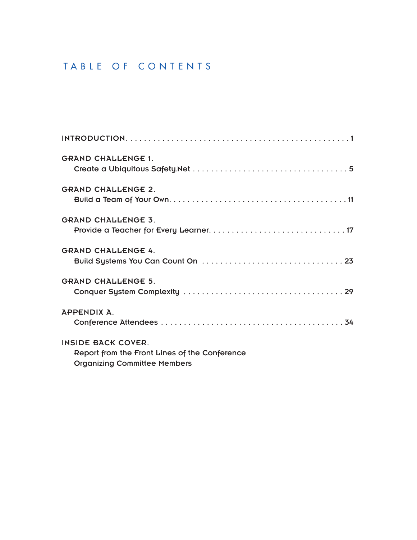# TABLE OF CONTENTS

| <b>GRAND CHALLENGE 1.</b>                                                                                         |
|-------------------------------------------------------------------------------------------------------------------|
| <b>GRAND CHALLENGE 2.</b>                                                                                         |
| <b>GRAND CHALLENGE 3.</b>                                                                                         |
| <b>GRAND CHALLENGE 4.</b>                                                                                         |
| <b>GRAND CHALLENGE 5.</b>                                                                                         |
| APPENDIX A.                                                                                                       |
| <b>INSIDE BACK COVER.</b><br>Report from the Front Lines of the Conference<br><b>Organizing Committee Members</b> |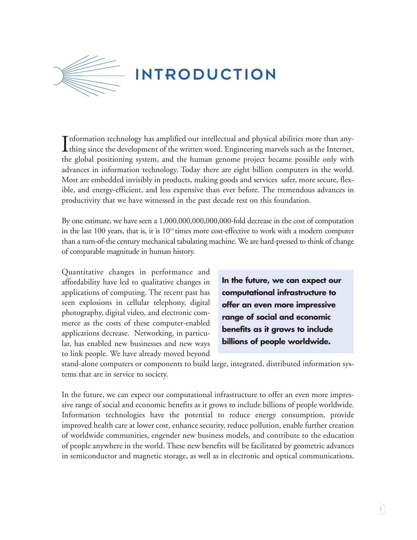

Information technology has amplified our intellectual and physical abilities more than any-<br>thing since the development of the written word. Engineering marvels such as the Internet, thing since the development of the written word. Engineering marvels such as the Internet, the global positioning system, and the human genome project became possible only with advances in information technology. Today there are eight billion computers in the world. Most are embedded invisibly in products, making goods and services safer, more secure, flexible, and energy-efficient, and less expensive than ever before. The tremendous advances in productivity that we have witnessed in the past decade rest on this foundation.

By one estimate, we have seen a 1,000,000,000,000,000-fold decrease in the cost of computation in the last 100 years, that is, it is  $10^{15}$  times more cost-effective to work with a modern computer than a turn-of-the century mechanical tabulating machine. We are hard-pressed to think of change of comparable magnitude in human history.

Quantitative changes in performance and affordability have led to qualitative changes in applications of computing. The recent past has seen explosions in cellular telephony, digital photography, digital video, and electronic commerce as the costs of these computer-enabled applications decrease. Networking, in particular, has enabled new businesses and new ways to link people. We have already moved beyond

**In the future, we can expect our computational infrastructure to offer an even more impressive range of social and economic benefits as it grows to include billions of people worldwide.**

stand-alone computers or components to build large, integrated, distributed information systems that are in service to society.

In the future, we can expect our computational infrastructure to offer an even more impressive range of social and economic benefits as it grows to include billions of people worldwide. Information technologies have the potential to reduce energy consumption, provide improved health care at lower cost, enhance security, reduce pollution, enable further creation of worldwide communities, engender new business models, and contribute to the education of people anywhere in the world. These new benefits will be facilitated by geometric advances in semiconductor and magnetic storage, as well as in electronic and optical communications.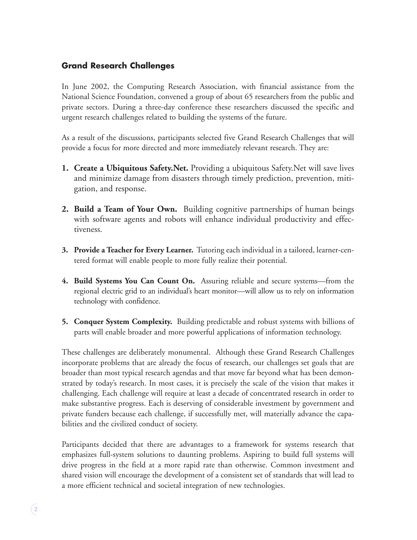# **Grand Research Challenges**

In June 2002, the Computing Research Association, with financial assistance from the National Science Foundation, convened a group of about 65 researchers from the public and private sectors. During a three-day conference these researchers discussed the specific and urgent research challenges related to building the systems of the future.

As a result of the discussions, participants selected five Grand Research Challenges that will provide a focus for more directed and more immediately relevant research. They are:

- **1. Create a Ubiquitous Safety.Net.** Providing a ubiquitous Safety.Net will save lives and minimize damage from disasters through timely prediction, prevention, mitigation, and response.
- **2. Build a Team of Your Own.** Building cognitive partnerships of human beings with software agents and robots will enhance individual productivity and effectiveness.
- **3. Provide a Teacher for Every Learner.** Tutoring each individual in a tailored, learner-centered format will enable people to more fully realize their potential.
- **4. Build Systems You Can Count On.** Assuring reliable and secure systems—from the regional electric grid to an individual's heart monitor—will allow us to rely on information technology with confidence.
- **5. Conquer System Complexity.** Building predictable and robust systems with billions of parts will enable broader and more powerful applications of information technology.

These challenges are deliberately monumental. Although these Grand Research Challenges incorporate problems that are already the focus of research, our challenges set goals that are broader than most typical research agendas and that move far beyond what has been demonstrated by today's research. In most cases, it is precisely the scale of the vision that makes it challenging. Each challenge will require at least a decade of concentrated research in order to make substantive progress. Each is deserving of considerable investment by government and private funders because each challenge, if successfully met, will materially advance the capabilities and the civilized conduct of society.

Participants decided that there are advantages to a framework for systems research that emphasizes full-system solutions to daunting problems. Aspiring to build full systems will drive progress in the field at a more rapid rate than otherwise. Common investment and shared vision will encourage the development of a consistent set of standards that will lead to a more efficient technical and societal integration of new technologies.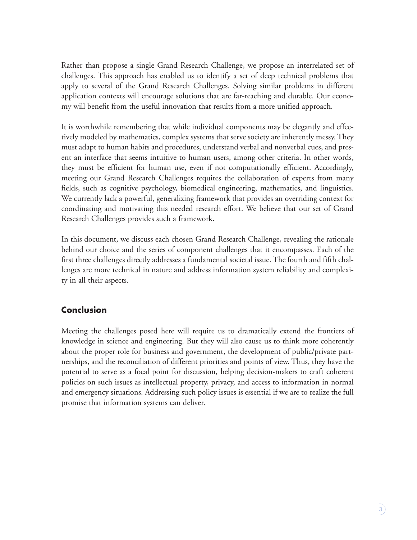Rather than propose a single Grand Research Challenge, we propose an interrelated set of challenges. This approach has enabled us to identify a set of deep technical problems that apply to several of the Grand Research Challenges. Solving similar problems in different application contexts will encourage solutions that are far-reaching and durable. Our economy will benefit from the useful innovation that results from a more unified approach.

It is worthwhile remembering that while individual components may be elegantly and effectively modeled by mathematics, complex systems that serve society are inherently messy. They must adapt to human habits and procedures, understand verbal and nonverbal cues, and present an interface that seems intuitive to human users, among other criteria. In other words, they must be efficient for human use, even if not computationally efficient. Accordingly, meeting our Grand Research Challenges requires the collaboration of experts from many fields, such as cognitive psychology, biomedical engineering, mathematics, and linguistics. We currently lack a powerful, generalizing framework that provides an overriding context for coordinating and motivating this needed research effort. We believe that our set of Grand Research Challenges provides such a framework.

In this document, we discuss each chosen Grand Research Challenge, revealing the rationale behind our choice and the series of component challenges that it encompasses. Each of the first three challenges directly addresses a fundamental societal issue. The fourth and fifth challenges are more technical in nature and address information system reliability and complexity in all their aspects.

# **Conclusion**

Meeting the challenges posed here will require us to dramatically extend the frontiers of knowledge in science and engineering. But they will also cause us to think more coherently about the proper role for business and government, the development of public/private partnerships, and the reconciliation of different priorities and points of view. Thus, they have the potential to serve as a focal point for discussion, helping decision-makers to craft coherent policies on such issues as intellectual property, privacy, and access to information in normal and emergency situations. Addressing such policy issues is essential if we are to realize the full promise that information systems can deliver.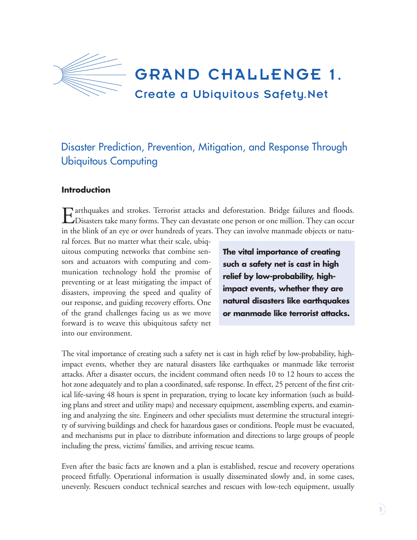

# Disaster Prediction, Prevention, Mitigation, and Response Through Ubiquitous Computing

## **Introduction**

Earthquakes and strokes. Terrorist attacks and deforestation. Bridge failures and floods.<br>
Disasters take many forms. They can devastate one person or one million. They can occur in the blink of an eye or over hundreds of years. They can involve manmade objects or natu-

ral forces. But no matter what their scale, ubiquitous computing networks that combine sensors and actuators with computing and communication technology hold the promise of preventing or at least mitigating the impact of disasters, improving the speed and quality of our response, and guiding recovery efforts. One of the grand challenges facing us as we move forward is to weave this ubiquitous safety net into our environment.

**The vital importance of creating such a safety net is cast in high relief by low-probability, highimpact events, whether they are natural disasters like earthquakes or manmade like terrorist attacks.**

The vital importance of creating such a safety net is cast in high relief by low-probability, highimpact events, whether they are natural disasters like earthquakes or manmade like terrorist attacks. After a disaster occurs, the incident command often needs 10 to 12 hours to access the hot zone adequately and to plan a coordinated, safe response. In effect, 25 percent of the first critical life-saving 48 hours is spent in preparation, trying to locate key information (such as building plans and street and utility maps) and necessary equipment, assembling experts, and examining and analyzing the site. Engineers and other specialists must determine the structural integrity of surviving buildings and check for hazardous gases or conditions. People must be evacuated, and mechanisms put in place to distribute information and directions to large groups of people including the press, victims' families, and arriving rescue teams.

Even after the basic facts are known and a plan is established, rescue and recovery operations proceed fitfully. Operational information is usually disseminated slowly and, in some cases, unevenly. Rescuers conduct technical searches and rescues with low-tech equipment, usually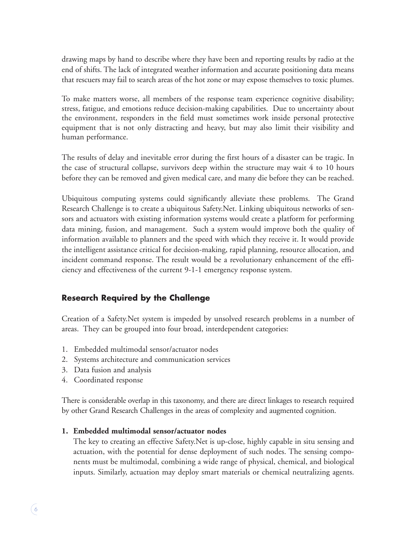drawing maps by hand to describe where they have been and reporting results by radio at the end of shifts. The lack of integrated weather information and accurate positioning data means that rescuers may fail to search areas of the hot zone or may expose themselves to toxic plumes.

To make matters worse, all members of the response team experience cognitive disability; stress, fatigue, and emotions reduce decision-making capabilities. Due to uncertainty about the environment, responders in the field must sometimes work inside personal protective equipment that is not only distracting and heavy, but may also limit their visibility and human performance.

The results of delay and inevitable error during the first hours of a disaster can be tragic. In the case of structural collapse, survivors deep within the structure may wait 4 to 10 hours before they can be removed and given medical care, and many die before they can be reached.

Ubiquitous computing systems could significantly alleviate these problems. The Grand Research Challenge is to create a ubiquitous Safety.Net. Linking ubiquitous networks of sensors and actuators with existing information systems would create a platform for performing data mining, fusion, and management. Such a system would improve both the quality of information available to planners and the speed with which they receive it. It would provide the intelligent assistance critical for decision-making, rapid planning, resource allocation, and incident command response. The result would be a revolutionary enhancement of the efficiency and effectiveness of the current 9-1-1 emergency response system.

# **Research Required by the Challenge**

Creation of a Safety.Net system is impeded by unsolved research problems in a number of areas. They can be grouped into four broad, interdependent categories:

- 1. Embedded multimodal sensor/actuator nodes
- 2. Systems architecture and communication services
- 3. Data fusion and analysis
- 4. Coordinated response

There is considerable overlap in this taxonomy, and there are direct linkages to research required by other Grand Research Challenges in the areas of complexity and augmented cognition.

#### **1. Embedded multimodal sensor/actuator nodes**

The key to creating an effective Safety.Net is up-close, highly capable in situ sensing and actuation, with the potential for dense deployment of such nodes. The sensing components must be multimodal, combining a wide range of physical, chemical, and biological inputs. Similarly, actuation may deploy smart materials or chemical neutralizing agents.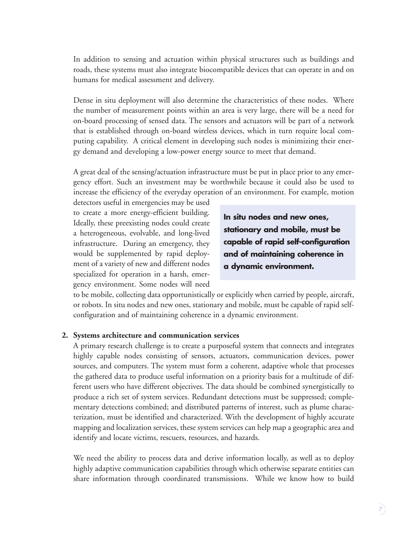In addition to sensing and actuation within physical structures such as buildings and roads, these systems must also integrate biocompatible devices that can operate in and on humans for medical assessment and delivery.

Dense in situ deployment will also determine the characteristics of these nodes. Where the number of measurement points within an area is very large, there will be a need for on-board processing of sensed data. The sensors and actuators will be part of a network that is established through on-board wireless devices, which in turn require local computing capability. A critical element in developing such nodes is minimizing their energy demand and developing a low-power energy source to meet that demand.

A great deal of the sensing/actuation infrastructure must be put in place prior to any emergency effort. Such an investment may be worthwhile because it could also be used to increase the efficiency of the everyday operation of an environment. For example, motion

detectors useful in emergencies may be used to create a more energy-efficient building. Ideally, these preexisting nodes could create a heterogeneous, evolvable, and long-lived infrastructure. During an emergency, they would be supplemented by rapid deployment of a variety of new and different nodes specialized for operation in a harsh, emergency environment. Some nodes will need

**In situ nodes and new ones, stationary and mobile, must be capable of rapid self-configuration and of maintaining coherence in a dynamic environment.**

to be mobile, collecting data opportunistically or explicitly when carried by people, aircraft, or robots. In situ nodes and new ones, stationary and mobile, must be capable of rapid selfconfiguration and of maintaining coherence in a dynamic environment.

#### **2. Systems architecture and communication services**

A primary research challenge is to create a purposeful system that connects and integrates highly capable nodes consisting of sensors, actuators, communication devices, power sources, and computers. The system must form a coherent, adaptive whole that processes the gathered data to produce useful information on a priority basis for a multitude of different users who have different objectives. The data should be combined synergistically to produce a rich set of system services. Redundant detections must be suppressed; complementary detections combined; and distributed patterns of interest, such as plume characterization, must be identified and characterized. With the development of highly accurate mapping and localization services, these system services can help map a geographic area and identify and locate victims, rescuers, resources, and hazards.

We need the ability to process data and derive information locally, as well as to deploy highly adaptive communication capabilities through which otherwise separate entities can share information through coordinated transmissions. While we know how to build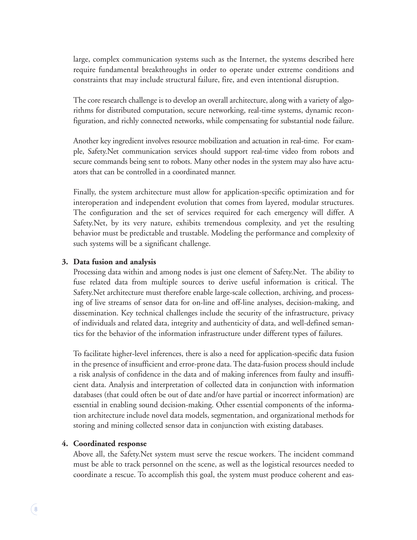large, complex communication systems such as the Internet, the systems described here require fundamental breakthroughs in order to operate under extreme conditions and constraints that may include structural failure, fire, and even intentional disruption.

The core research challenge is to develop an overall architecture, along with a variety of algorithms for distributed computation, secure networking, real-time systems, dynamic reconfiguration, and richly connected networks, while compensating for substantial node failure.

Another key ingredient involves resource mobilization and actuation in real-time. For example, Safety.Net communication services should support real-time video from robots and secure commands being sent to robots. Many other nodes in the system may also have actuators that can be controlled in a coordinated manner.

Finally, the system architecture must allow for application-specific optimization and for interoperation and independent evolution that comes from layered, modular structures. The configuration and the set of services required for each emergency will differ. A Safety.Net, by its very nature, exhibits tremendous complexity, and yet the resulting behavior must be predictable and trustable. Modeling the performance and complexity of such systems will be a significant challenge.

#### **3. Data fusion and analysis**

Processing data within and among nodes is just one element of Safety.Net. The ability to fuse related data from multiple sources to derive useful information is critical. The Safety.Net architecture must therefore enable large-scale collection, archiving, and processing of live streams of sensor data for on-line and off-line analyses, decision-making, and dissemination. Key technical challenges include the security of the infrastructure, privacy of individuals and related data, integrity and authenticity of data, and well-defined semantics for the behavior of the information infrastructure under different types of failures.

To facilitate higher-level inferences, there is also a need for application-specific data fusion in the presence of insufficient and error-prone data. The data-fusion process should include a risk analysis of confidence in the data and of making inferences from faulty and insufficient data. Analysis and interpretation of collected data in conjunction with information databases (that could often be out of date and/or have partial or incorrect information) are essential in enabling sound decision-making. Other essential components of the information architecture include novel data models, segmentation, and organizational methods for storing and mining collected sensor data in conjunction with existing databases.

#### **4. Coordinated response**

Above all, the Safety.Net system must serve the rescue workers. The incident command must be able to track personnel on the scene, as well as the logistical resources needed to coordinate a rescue. To accomplish this goal, the system must produce coherent and eas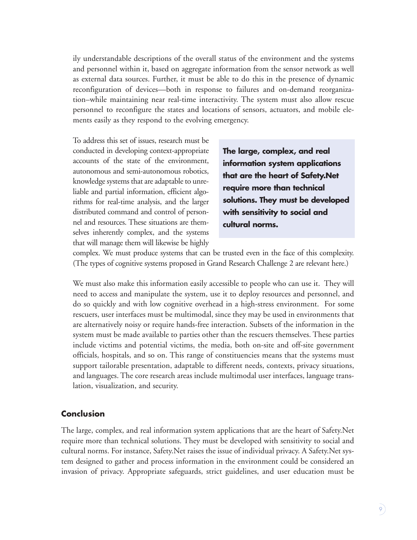ily understandable descriptions of the overall status of the environment and the systems and personnel within it, based on aggregate information from the sensor network as well as external data sources. Further, it must be able to do this in the presence of dynamic reconfiguration of devices—both in response to failures and on-demand reorganization–while maintaining near real-time interactivity. The system must also allow rescue personnel to reconfigure the states and locations of sensors, actuators, and mobile elements easily as they respond to the evolving emergency.

To address this set of issues, research must be conducted in developing context-appropriate accounts of the state of the environment, autonomous and semi-autonomous robotics, knowledge systems that are adaptable to unreliable and partial information, efficient algorithms for real-time analysis, and the larger distributed command and control of personnel and resources. These situations are themselves inherently complex, and the systems that will manage them will likewise be highly

**The large, complex, and real information system applications that are the heart of Safety.Net require more than technical solutions. They must be developed with sensitivity to social and cultural norms.**

complex. We must produce systems that can be trusted even in the face of this complexity. (The types of cognitive systems proposed in Grand Research Challenge 2 are relevant here.)

We must also make this information easily accessible to people who can use it. They will need to access and manipulate the system, use it to deploy resources and personnel, and do so quickly and with low cognitive overhead in a high-stress environment. For some rescuers, user interfaces must be multimodal, since they may be used in environments that are alternatively noisy or require hands-free interaction. Subsets of the information in the system must be made available to parties other than the rescuers themselves. These parties include victims and potential victims, the media, both on-site and off-site government officials, hospitals, and so on. This range of constituencies means that the systems must support tailorable presentation, adaptable to different needs, contexts, privacy situations, and languages. The core research areas include multimodal user interfaces, language translation, visualization, and security.

#### **Conclusion**

The large, complex, and real information system applications that are the heart of Safety.Net require more than technical solutions. They must be developed with sensitivity to social and cultural norms. For instance, Safety.Net raises the issue of individual privacy. A Safety.Net system designed to gather and process information in the environment could be considered an invasion of privacy. Appropriate safeguards, strict guidelines, and user education must be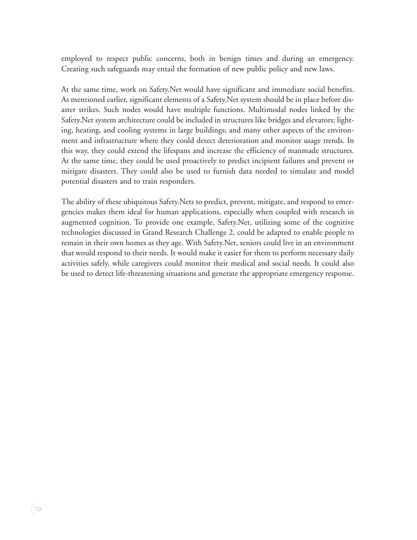employed to respect public concerns, both in benign times and during an emergency. Creating such safeguards may entail the formation of new public policy and new laws.

At the same time, work on Safety.Net would have significant and immediate social benefits. As mentioned earlier, significant elements of a Safety.Net system should be in place before disaster strikes. Such nodes would have multiple functions. Multimodal nodes linked by the Safety.Net system architecture could be included in structures like bridges and elevators; lighting, heating, and cooling systems in large buildings; and many other aspects of the environment and infrastructure where they could detect deterioration and monitor usage trends. In this way, they could extend the lifespans and increase the efficiency of manmade structures. At the same time, they could be used proactively to predict incipient failures and prevent or mitigate disasters. They could also be used to furnish data needed to simulate and model potential disasters and to train responders.

The ability of these ubiquitous Safety.Nets to predict, prevent, mitigate, and respond to emergencies makes them ideal for human applications, especially when coupled with research in augmented cognition. To provide one example, Safety.Net, utilizing some of the cognitive technologies discussed in Grand Research Challenge 2, could be adapted to enable people to remain in their own homes as they age. With Safety.Net, seniors could live in an environment that would respond to their needs. It would make it easier for them to perform necessary daily activities safely, while caregivers could monitor their medical and social needs. It could also be used to detect life-threatening situations and generate the appropriate emergency response.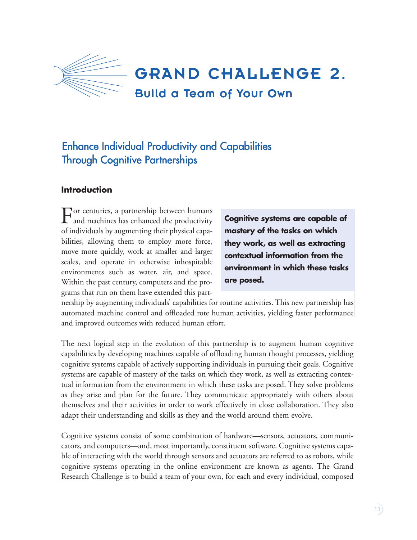

# Enhance Individual Productivity and Capabilities Through Cognitive Partnerships

# **Introduction**

For centuries, a partnership between humans and machines has enhanced the productivity of individuals by augmenting their physical capabilities, allowing them to employ more force, move more quickly, work at smaller and larger scales, and operate in otherwise inhospitable environments such as water, air, and space. Within the past century, computers and the programs that run on them have extended this part-

**Cognitive systems are capable of mastery of the tasks on which they work, as well as extracting contextual information from the environment in which these tasks are posed.**

nership by augmenting individuals' capabilities for routine activities. This new partnership has automated machine control and offloaded rote human activities, yielding faster performance and improved outcomes with reduced human effort.

The next logical step in the evolution of this partnership is to augment human cognitive capabilities by developing machines capable of offloading human thought processes, yielding cognitive systems capable of actively supporting individuals in pursuing their goals. Cognitive systems are capable of mastery of the tasks on which they work, as well as extracting contextual information from the environment in which these tasks are posed. They solve problems as they arise and plan for the future. They communicate appropriately with others about themselves and their activities in order to work effectively in close collaboration. They also adapt their understanding and skills as they and the world around them evolve.

Cognitive systems consist of some combination of hardware—sensors, actuators, communicators, and computers—and, most importantly, constituent software. Cognitive systems capable of interacting with the world through sensors and actuators are referred to as robots, while cognitive systems operating in the online environment are known as agents. The Grand Research Challenge is to build a team of your own, for each and every individual, composed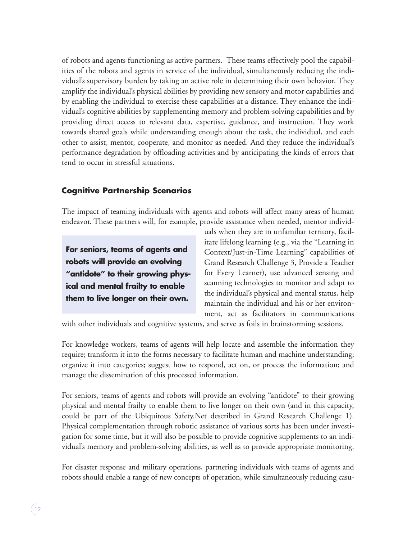of robots and agents functioning as active partners. These teams effectively pool the capabilities of the robots and agents in service of the individual, simultaneously reducing the individual's supervisory burden by taking an active role in determining their own behavior. They amplify the individual's physical abilities by providing new sensory and motor capabilities and by enabling the individual to exercise these capabilities at a distance. They enhance the individual's cognitive abilities by supplementing memory and problem-solving capabilities and by providing direct access to relevant data, expertise, guidance, and instruction. They work towards shared goals while understanding enough about the task, the individual, and each other to assist, mentor, cooperate, and monitor as needed. And they reduce the individual's performance degradation by offloading activities and by anticipating the kinds of errors that tend to occur in stressful situations.

# **Cognitive Partnership Scenarios**

The impact of teaming individuals with agents and robots will affect many areas of human endeavor. These partners will, for example, provide assistance when needed, mentor individ-

**For seniors, teams of agents and robots will provide an evolving "antidote" to their growing physical and mental frailty to enable them to live longer on their own.**

uals when they are in unfamiliar territory, facilitate lifelong learning (e.g., via the "Learning in Context/Just-in-Time Learning" capabilities of Grand Research Challenge 3, Provide a Teacher for Every Learner), use advanced sensing and scanning technologies to monitor and adapt to the individual's physical and mental status, help maintain the individual and his or her environment, act as facilitators in communications

with other individuals and cognitive systems, and serve as foils in brainstorming sessions.

For knowledge workers, teams of agents will help locate and assemble the information they require; transform it into the forms necessary to facilitate human and machine understanding; organize it into categories; suggest how to respond, act on, or process the information; and manage the dissemination of this processed information.

For seniors, teams of agents and robots will provide an evolving "antidote" to their growing physical and mental frailty to enable them to live longer on their own (and in this capacity, could be part of the Ubiquitous Safety.Net described in Grand Research Challenge 1). Physical complementation through robotic assistance of various sorts has been under investigation for some time, but it will also be possible to provide cognitive supplements to an individual's memory and problem-solving abilities, as well as to provide appropriate monitoring.

For disaster response and military operations, partnering individuals with teams of agents and robots should enable a range of new concepts of operation, while simultaneously reducing casu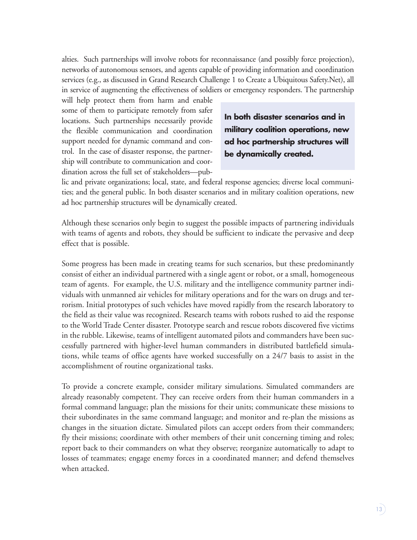alties. Such partnerships will involve robots for reconnaissance (and possibly force projection), networks of autonomous sensors, and agents capable of providing information and coordination services (e.g., as discussed in Grand Research Challenge 1 to Create a Ubiquitous Safety.Net), all in service of augmenting the effectiveness of soldiers or emergency responders. The partnership

will help protect them from harm and enable some of them to participate remotely from safer locations. Such partnerships necessarily provide the flexible communication and coordination support needed for dynamic command and control. In the case of disaster response, the partnership will contribute to communication and coordination across the full set of stakeholders—pub-

**In both disaster scenarios and in military coalition operations, new ad hoc partnership structures will be dynamically created.**

lic and private organizations; local, state, and federal response agencies; diverse local communities; and the general public. In both disaster scenarios and in military coalition operations, new ad hoc partnership structures will be dynamically created.

Although these scenarios only begin to suggest the possible impacts of partnering individuals with teams of agents and robots, they should be sufficient to indicate the pervasive and deep effect that is possible.

Some progress has been made in creating teams for such scenarios, but these predominantly consist of either an individual partnered with a single agent or robot, or a small, homogeneous team of agents. For example, the U.S. military and the intelligence community partner individuals with unmanned air vehicles for military operations and for the wars on drugs and terrorism. Initial prototypes of such vehicles have moved rapidly from the research laboratory to the field as their value was recognized. Research teams with robots rushed to aid the response to the World Trade Center disaster. Prototype search and rescue robots discovered five victims in the rubble. Likewise, teams of intelligent automated pilots and commanders have been successfully partnered with higher-level human commanders in distributed battlefield simulations, while teams of office agents have worked successfully on a 24/7 basis to assist in the accomplishment of routine organizational tasks.

To provide a concrete example, consider military simulations. Simulated commanders are already reasonably competent. They can receive orders from their human commanders in a formal command language; plan the missions for their units; communicate these missions to their subordinates in the same command language; and monitor and re-plan the missions as changes in the situation dictate. Simulated pilots can accept orders from their commanders; fly their missions; coordinate with other members of their unit concerning timing and roles; report back to their commanders on what they observe; reorganize automatically to adapt to losses of teammates; engage enemy forces in a coordinated manner; and defend themselves when attacked.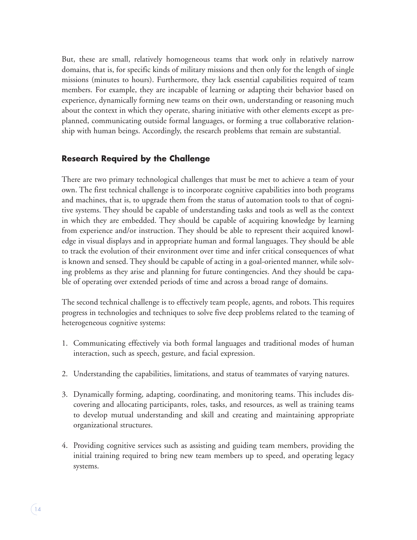But, these are small, relatively homogeneous teams that work only in relatively narrow domains, that is, for specific kinds of military missions and then only for the length of single missions (minutes to hours). Furthermore, they lack essential capabilities required of team members. For example, they are incapable of learning or adapting their behavior based on experience, dynamically forming new teams on their own, understanding or reasoning much about the context in which they operate, sharing initiative with other elements except as preplanned, communicating outside formal languages, or forming a true collaborative relationship with human beings. Accordingly, the research problems that remain are substantial.

# **Research Required by the Challenge**

There are two primary technological challenges that must be met to achieve a team of your own. The first technical challenge is to incorporate cognitive capabilities into both programs and machines, that is, to upgrade them from the status of automation tools to that of cognitive systems. They should be capable of understanding tasks and tools as well as the context in which they are embedded. They should be capable of acquiring knowledge by learning from experience and/or instruction. They should be able to represent their acquired knowledge in visual displays and in appropriate human and formal languages. They should be able to track the evolution of their environment over time and infer critical consequences of what is known and sensed. They should be capable of acting in a goal-oriented manner, while solving problems as they arise and planning for future contingencies. And they should be capable of operating over extended periods of time and across a broad range of domains.

The second technical challenge is to effectively team people, agents, and robots. This requires progress in technologies and techniques to solve five deep problems related to the teaming of heterogeneous cognitive systems:

- 1. Communicating effectively via both formal languages and traditional modes of human interaction, such as speech, gesture, and facial expression.
- 2. Understanding the capabilities, limitations, and status of teammates of varying natures.
- 3. Dynamically forming, adapting, coordinating, and monitoring teams. This includes discovering and allocating participants, roles, tasks, and resources, as well as training teams to develop mutual understanding and skill and creating and maintaining appropriate organizational structures.
- 4. Providing cognitive services such as assisting and guiding team members, providing the initial training required to bring new team members up to speed, and operating legacy systems.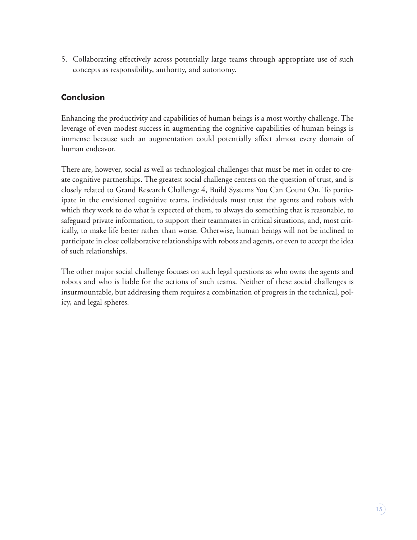5. Collaborating effectively across potentially large teams through appropriate use of such concepts as responsibility, authority, and autonomy.

# **Conclusion**

Enhancing the productivity and capabilities of human beings is a most worthy challenge. The leverage of even modest success in augmenting the cognitive capabilities of human beings is immense because such an augmentation could potentially affect almost every domain of human endeavor.

There are, however, social as well as technological challenges that must be met in order to create cognitive partnerships. The greatest social challenge centers on the question of trust, and is closely related to Grand Research Challenge 4, Build Systems You Can Count On. To participate in the envisioned cognitive teams, individuals must trust the agents and robots with which they work to do what is expected of them, to always do something that is reasonable, to safeguard private information, to support their teammates in critical situations, and, most critically, to make life better rather than worse. Otherwise, human beings will not be inclined to participate in close collaborative relationships with robots and agents, or even to accept the idea of such relationships.

The other major social challenge focuses on such legal questions as who owns the agents and robots and who is liable for the actions of such teams. Neither of these social challenges is insurmountable, but addressing them requires a combination of progress in the technical, policy, and legal spheres.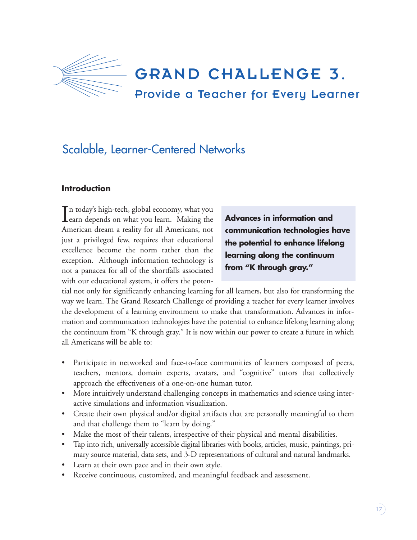

GRAND CHALLENGE 3.

# Provide a Teacher for Every Learner

# Scalable, Learner-Centered Networks

## **Introduction**

In today's high-tech, global economy, what you<br>earn depends on what you learn. Making the **T** n today's high-tech, global economy, what you American dream a reality for all Americans, not just a privileged few, requires that educational excellence become the norm rather than the exception. Although information technology is not a panacea for all of the shortfalls associated with our educational system, it offers the poten-

**Advances in information and communication technologies have the potential to enhance lifelong learning along the continuum from "K through gray."**

tial not only for significantly enhancing learning for all learners, but also for transforming the way we learn. The Grand Research Challenge of providing a teacher for every learner involves the development of a learning environment to make that transformation. Advances in information and communication technologies have the potential to enhance lifelong learning along the continuum from "K through gray." It is now within our power to create a future in which all Americans will be able to:

- Participate in networked and face-to-face communities of learners composed of peers, teachers, mentors, domain experts, avatars, and "cognitive" tutors that collectively approach the effectiveness of a one-on-one human tutor.
- More intuitively understand challenging concepts in mathematics and science using interactive simulations and information visualization.
- Create their own physical and/or digital artifacts that are personally meaningful to them and that challenge them to "learn by doing."
- Make the most of their talents, irrespective of their physical and mental disabilities.
- Tap into rich, universally accessible digital libraries with books, articles, music, paintings, primary source material, data sets, and 3-D representations of cultural and natural landmarks.
- Learn at their own pace and in their own style.
- Receive continuous, customized, and meaningful feedback and assessment.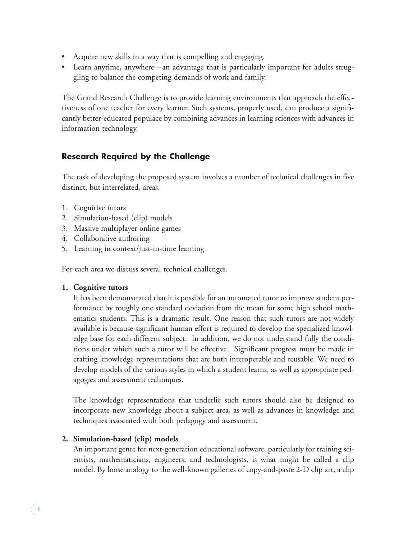- Acquire new skills in a way that is compelling and engaging.
- Learn anytime, anywhere—an advantage that is particularly important for adults struggling to balance the competing demands of work and family.

The Grand Research Challenge is to provide learning environments that approach the effectiveness of one teacher for every learner. Such systems, properly used, can produce a significantly better-educated populace by combining advances in learning sciences with advances in information technology.

# **Research Required by the Challenge**

The task of developing the proposed system involves a number of technical challenges in five distinct, but interrelated, areas:

- 1. Cognitive tutors
- 2. Simulation-based (clip) models
- 3. Massive multiplayer online games
- 4. Collaborative authoring
- 5. Learning in context/just-in-time learning

For each area we discuss several technical challenges.

# **1. Cognitive tutors**

It has been demonstrated that it is possible for an automated tutor to improve student performance by roughly one standard deviation from the mean for some high school mathematics students. This is a dramatic result. One reason that such tutors are not widely available is because significant human effort is required to develop the specialized knowledge base for each different subject. In addition, we do not understand fully the conditions under which such a tutor will be effective. Significant progress must be made in crafting knowledge representations that are both interoperable and reusable. We need to develop models of the various styles in which a student learns, as well as appropriate pedagogies and assessment techniques.

The knowledge representations that underlie such tutors should also be designed to incorporate new knowledge about a subject area, as well as advances in knowledge and techniques associated with both pedagogy and assessment.

# **2. Simulation-based (clip) models**

An important genre for next-generation educational software, particularly for training scientists, mathematicians, engineers, and technologists, is what might be called a clip model. By loose analogy to the well-known galleries of copy-and-paste 2-D clip art, a clip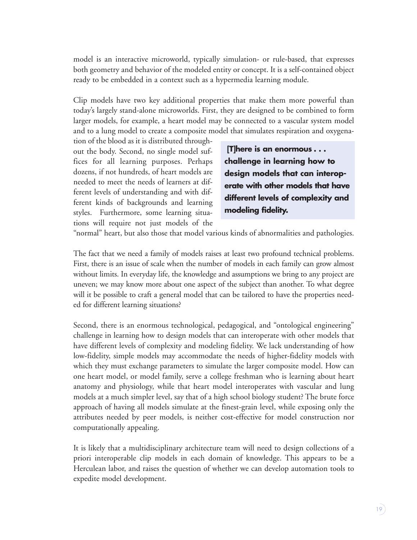model is an interactive microworld, typically simulation- or rule-based, that expresses both geometry and behavior of the modeled entity or concept. It is a self-contained object ready to be embedded in a context such as a hypermedia learning module.

Clip models have two key additional properties that make them more powerful than today's largely stand-alone microworlds. First, they are designed to be combined to form larger models, for example, a heart model may be connected to a vascular system model and to a lung model to create a composite model that simulates respiration and oxygena-

tion of the blood as it is distributed throughout the body. Second, no single model suffices for all learning purposes. Perhaps dozens, if not hundreds, of heart models are needed to meet the needs of learners at different levels of understanding and with different kinds of backgrounds and learning styles. Furthermore, some learning situations will require not just models of the

**[T]here is an enormous . . . challenge in learning how to design models that can interoperate with other models that have different levels of complexity and modeling fidelity.**

"normal" heart, but also those that model various kinds of abnormalities and pathologies.

The fact that we need a family of models raises at least two profound technical problems. First, there is an issue of scale when the number of models in each family can grow almost without limits. In everyday life, the knowledge and assumptions we bring to any project are uneven; we may know more about one aspect of the subject than another. To what degree will it be possible to craft a general model that can be tailored to have the properties needed for different learning situations?

Second, there is an enormous technological, pedagogical, and "ontological engineering" challenge in learning how to design models that can interoperate with other models that have different levels of complexity and modeling fidelity. We lack understanding of how low-fidelity, simple models may accommodate the needs of higher-fidelity models with which they must exchange parameters to simulate the larger composite model. How can one heart model, or model family, serve a college freshman who is learning about heart anatomy and physiology, while that heart model interoperates with vascular and lung models at a much simpler level, say that of a high school biology student? The brute force approach of having all models simulate at the finest-grain level, while exposing only the attributes needed by peer models, is neither cost-effective for model construction nor computationally appealing.

It is likely that a multidisciplinary architecture team will need to design collections of a priori interoperable clip models in each domain of knowledge. This appears to be a Herculean labor, and raises the question of whether we can develop automation tools to expedite model development.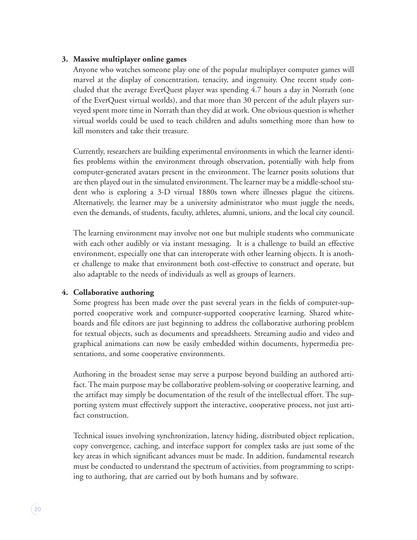#### **3. Massive multiplayer online games**

Anyone who watches someone play one of the popular multiplayer computer games will marvel at the display of concentration, tenacity, and ingenuity. One recent study concluded that the average EverQuest player was spending 4.7 hours a day in Norrath (one of the EverQuest virtual worlds), and that more than 30 percent of the adult players surveyed spent more time in Norrath than they did at work. One obvious question is whether virtual worlds could be used to teach children and adults something more than how to kill monsters and take their treasure.

Currently, researchers are building experimental environments in which the learner identifies problems within the environment through observation, potentially with help from computer-generated avatars present in the environment. The learner posits solutions that are then played out in the simulated environment. The learner may be a middle-school student who is exploring a 3-D virtual 1880s town where illnesses plague the citizens. Alternatively, the learner may be a university administrator who must juggle the needs, even the demands, of students, faculty, athletes, alumni, unions, and the local city council.

The learning environment may involve not one but multiple students who communicate with each other audibly or via instant messaging. It is a challenge to build an effective environment, especially one that can interoperate with other learning objects. It is another challenge to make that environment both cost-effective to construct and operate, but also adaptable to the needs of individuals as well as groups of learners.

## **4. Collaborative authoring**

Some progress has been made over the past several years in the fields of computer-supported cooperative work and computer-supported cooperative learning. Shared whiteboards and file editors are just beginning to address the collaborative authoring problem for textual objects, such as documents and spreadsheets. Streaming audio and video and graphical animations can now be easily embedded within documents, hypermedia presentations, and some cooperative environments.

Authoring in the broadest sense may serve a purpose beyond building an authored artifact. The main purpose may be collaborative problem-solving or cooperative learning, and the artifact may simply be documentation of the result of the intellectual effort. The supporting system must effectively support the interactive, cooperative process, not just artifact construction.

Technical issues involving synchronization, latency hiding, distributed object replication, copy convergence, caching, and interface support for complex tasks are just some of the key areas in which significant advances must be made. In addition, fundamental research must be conducted to understand the spectrum of activities, from programming to scripting to authoring, that are carried out by both humans and by software.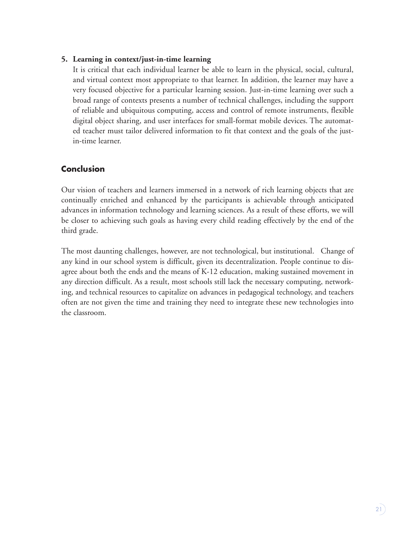#### **5. Learning in context/just-in-time learning**

It is critical that each individual learner be able to learn in the physical, social, cultural, and virtual context most appropriate to that learner. In addition, the learner may have a very focused objective for a particular learning session. Just-in-time learning over such a broad range of contexts presents a number of technical challenges, including the support of reliable and ubiquitous computing, access and control of remote instruments, flexible digital object sharing, and user interfaces for small-format mobile devices. The automated teacher must tailor delivered information to fit that context and the goals of the justin-time learner.

# **Conclusion**

Our vision of teachers and learners immersed in a network of rich learning objects that are continually enriched and enhanced by the participants is achievable through anticipated advances in information technology and learning sciences. As a result of these efforts, we will be closer to achieving such goals as having every child reading effectively by the end of the third grade.

The most daunting challenges, however, are not technological, but institutional. Change of any kind in our school system is difficult, given its decentralization. People continue to disagree about both the ends and the means of K-12 education, making sustained movement in any direction difficult. As a result, most schools still lack the necessary computing, networking, and technical resources to capitalize on advances in pedagogical technology, and teachers often are not given the time and training they need to integrate these new technologies into the classroom.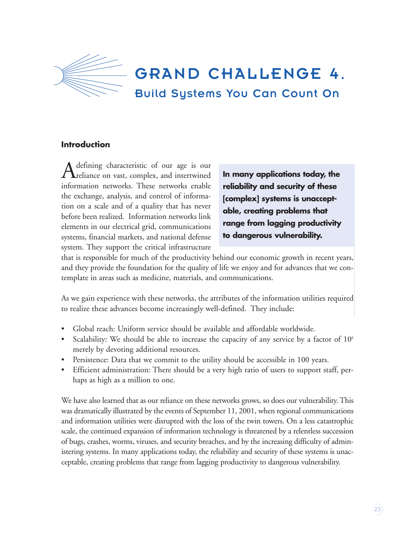

## **Introduction**

Adefining characteristic of our age is our<br>reliance on vast, complex, and intertwined information networks. These networks enable the exchange, analysis, and control of information on a scale and of a quality that has never before been realized. Information networks link elements in our electrical grid, communications systems, financial markets, and national defense system. They support the critical infrastructure

**In many applications today, the reliability and security of these [complex] systems is unacceptable, creating problems that range from lagging productivity to dangerous vulnerability.**

that is responsible for much of the productivity behind our economic growth in recent years, and they provide the foundation for the quality of life we enjoy and for advances that we contemplate in areas such as medicine, materials, and communications.

As we gain experience with these networks, the attributes of the information utilities required to realize these advances become increasingly well-defined. They include:

- Global reach: Uniform service should be available and affordable worldwide.
- Scalability: We should be able to increase the capacity of any service by a factor of 10<sup>6</sup> merely by devoting additional resources.
- Persistence: Data that we commit to the utility should be accessible in 100 years.
- Efficient administration: There should be a very high ratio of users to support staff, perhaps as high as a million to one.

We have also learned that as our reliance on these networks grows, so does our vulnerability. This was dramatically illustrated by the events of September 11, 2001, when regional communications and information utilities were disrupted with the loss of the twin towers. On a less catastrophic scale, the continued expansion of information technology is threatened by a relentless succession of bugs, crashes, worms, viruses, and security breaches, and by the increasing difficulty of administering systems. In many applications today, the reliability and security of these systems is unacceptable, creating problems that range from lagging productivity to dangerous vulnerability.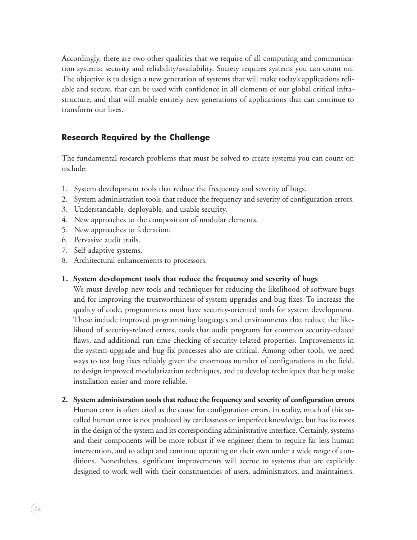Accordingly, there are two other qualities that we require of all computing and communication systems: security and reliability/availability. Society requires systems you can count on. The objective is to design a new generation of systems that will make today's applications reliable and secure, that can be used with confidence in all elements of our global critical infrastructure, and that will enable entirely new generations of applications that can continue to transform our lives.

# **Research Required by the Challenge**

The fundamental research problems that must be solved to create systems you can count on include:

- 1. System development tools that reduce the frequency and severity of bugs.
- 2. System administration tools that reduce the frequency and severity of configuration errors.
- 3. Understandable, deployable, and usable security.
- 4. New approaches to the composition of modular elements.
- 5. New approaches to federation.
- 6. Pervasive audit trails.
- 7. Self-adaptive systems.
- 8. Architectural enhancements to processors.
- **1. System development tools that reduce the frequency and severity of bugs**

We must develop new tools and techniques for reducing the likelihood of software bugs and for improving the trustworthiness of system upgrades and bug fixes. To increase the quality of code, programmers must have security-oriented tools for system development. These include improved programming languages and environments that reduce the likelihood of security-related errors, tools that audit programs for common security-related flaws, and additional run-time checking of security-related properties. Improvements in the system-upgrade and bug-fix processes also are critical. Among other tools, we need ways to test bug fixes reliably given the enormous number of configurations in the field, to design improved modularization techniques, and to develop techniques that help make installation easier and more reliable.

**2. System administration tools that reduce the frequency and severity of configuration errors** Human error is often cited as the cause for configuration errors. In reality, much of this socalled human error is not produced by carelessness or imperfect knowledge, but has its roots in the design of the system and its corresponding administrative interface. Certainly, systems and their components will be more robust if we engineer them to require far less human intervention, and to adapt and continue operating on their own under a wide range of conditions. Nonetheless, significant improvements will accrue to systems that are explicitly designed to work well with their constituencies of users, administrators, and maintainers.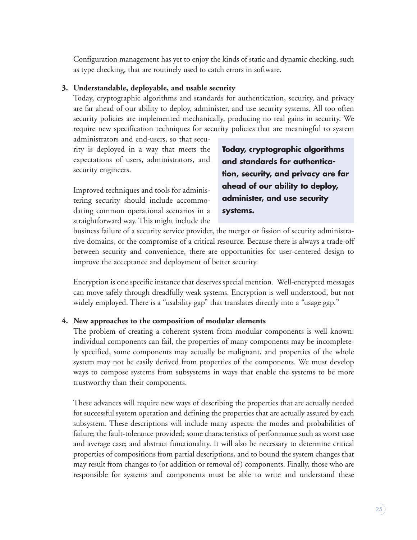Configuration management has yet to enjoy the kinds of static and dynamic checking, such as type checking, that are routinely used to catch errors in software.

## **3. Understandable, deployable, and usable security**

Today, cryptographic algorithms and standards for authentication, security, and privacy are far ahead of our ability to deploy, administer, and use security systems. All too often security policies are implemented mechanically, producing no real gains in security. We require new specification techniques for security policies that are meaningful to system

administrators and end-users, so that security is deployed in a way that meets the expectations of users, administrators, and security engineers.

Improved techniques and tools for administering security should include accommodating common operational scenarios in a straightforward way. This might include the

**Today, cryptographic algorithms and standards for authentication, security, and privacy are far ahead of our ability to deploy, administer, and use security systems.**

business failure of a security service provider, the merger or fission of security administrative domains, or the compromise of a critical resource. Because there is always a trade-off between security and convenience, there are opportunities for user-centered design to improve the acceptance and deployment of better security.

Encryption is one specific instance that deserves special mention. Well-encrypted messages can move safely through dreadfully weak systems. Encryption is well understood, but not widely employed. There is a "usability gap" that translates directly into a "usage gap."

## **4. New approaches to the composition of modular elements**

The problem of creating a coherent system from modular components is well known: individual components can fail, the properties of many components may be incompletely specified, some components may actually be malignant, and properties of the whole system may not be easily derived from properties of the components. We must develop ways to compose systems from subsystems in ways that enable the systems to be more trustworthy than their components.

These advances will require new ways of describing the properties that are actually needed for successful system operation and defining the properties that are actually assured by each subsystem. These descriptions will include many aspects: the modes and probabilities of failure; the fault-tolerance provided; some characteristics of performance such as worst case and average case; and abstract functionality. It will also be necessary to determine critical properties of compositions from partial descriptions, and to bound the system changes that may result from changes to (or addition or removal of) components. Finally, those who are responsible for systems and components must be able to write and understand these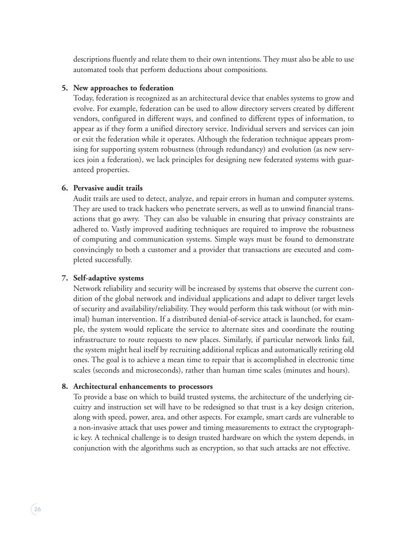descriptions fluently and relate them to their own intentions. They must also be able to use automated tools that perform deductions about compositions.

#### **5. New approaches to federation**

Today, federation is recognized as an architectural device that enables systems to grow and evolve. For example, federation can be used to allow directory servers created by different vendors, configured in different ways, and confined to different types of information, to appear as if they form a unified directory service. Individual servers and services can join or exit the federation while it operates. Although the federation technique appears promising for supporting system robustness (through redundancy) and evolution (as new services join a federation), we lack principles for designing new federated systems with guaranteed properties.

## **6. Pervasive audit trails**

Audit trails are used to detect, analyze, and repair errors in human and computer systems. They are used to track hackers who penetrate servers, as well as to unwind financial transactions that go awry. They can also be valuable in ensuring that privacy constraints are adhered to. Vastly improved auditing techniques are required to improve the robustness of computing and communication systems. Simple ways must be found to demonstrate convincingly to both a customer and a provider that transactions are executed and completed successfully.

## **7. Self-adaptive systems**

Network reliability and security will be increased by systems that observe the current condition of the global network and individual applications and adapt to deliver target levels of security and availability/reliability. They would perform this task without (or with minimal) human intervention. If a distributed denial-of-service attack is launched, for example, the system would replicate the service to alternate sites and coordinate the routing infrastructure to route requests to new places. Similarly, if particular network links fail, the system might heal itself by recruiting additional replicas and automatically retiring old ones. The goal is to achieve a mean time to repair that is accomplished in electronic time scales (seconds and microseconds), rather than human time scales (minutes and hours).

## **8. Architectural enhancements to processors**

To provide a base on which to build trusted systems, the architecture of the underlying circuitry and instruction set will have to be redesigned so that trust is a key design criterion, along with speed, power, area, and other aspects. For example, smart cards are vulnerable to a non-invasive attack that uses power and timing measurements to extract the cryptographic key. A technical challenge is to design trusted hardware on which the system depends, in conjunction with the algorithms such as encryption, so that such attacks are not effective.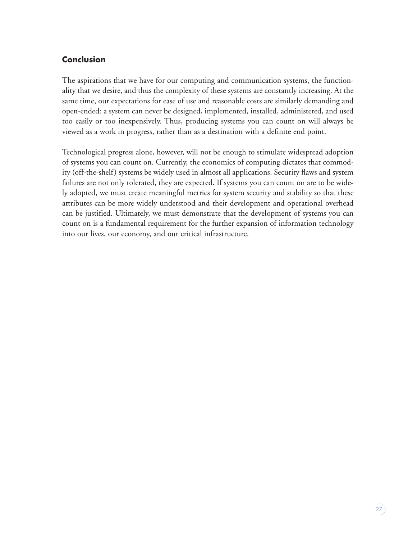# **Conclusion**

The aspirations that we have for our computing and communication systems, the functionality that we desire, and thus the complexity of these systems are constantly increasing. At the same time, our expectations for ease of use and reasonable costs are similarly demanding and open-ended: a system can never be designed, implemented, installed, administered, and used too easily or too inexpensively. Thus, producing systems you can count on will always be viewed as a work in progress, rather than as a destination with a definite end point.

Technological progress alone, however, will not be enough to stimulate widespread adoption of systems you can count on. Currently, the economics of computing dictates that commodity (off-the-shelf) systems be widely used in almost all applications. Security flaws and system failures are not only tolerated, they are expected. If systems you can count on are to be widely adopted, we must create meaningful metrics for system security and stability so that these attributes can be more widely understood and their development and operational overhead can be justified. Ultimately, we must demonstrate that the development of systems you can count on is a fundamental requirement for the further expansion of information technology into our lives, our economy, and our critical infrastructure.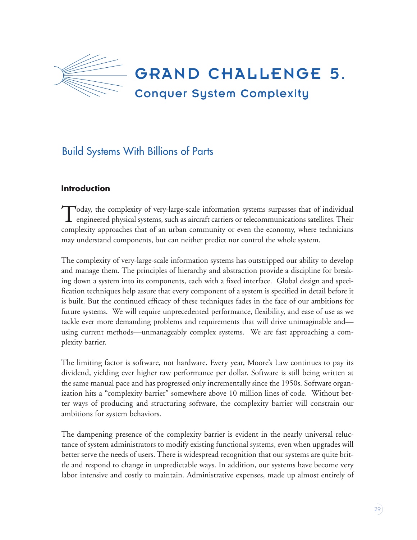

# Build Systems With Billions of Parts

# **Introduction**

Today, the complexity of very-large-scale information systems surpasses that of individual engineered physical systems, such as aircraft carriers or telecommunications satellites. Their complexity approaches that of an urban community or even the economy, where technicians may understand components, but can neither predict nor control the whole system.

The complexity of very-large-scale information systems has outstripped our ability to develop and manage them. The principles of hierarchy and abstraction provide a discipline for breaking down a system into its components, each with a fixed interface. Global design and specification techniques help assure that every component of a system is specified in detail before it is built. But the continued efficacy of these techniques fades in the face of our ambitions for future systems. We will require unprecedented performance, flexibility, and ease of use as we tackle ever more demanding problems and requirements that will drive unimaginable and using current methods—unmanageably complex systems. We are fast approaching a complexity barrier.

The limiting factor is software, not hardware. Every year, Moore's Law continues to pay its dividend, yielding ever higher raw performance per dollar. Software is still being written at the same manual pace and has progressed only incrementally since the 1950s. Software organization hits a "complexity barrier" somewhere above 10 million lines of code. Without better ways of producing and structuring software, the complexity barrier will constrain our ambitions for system behaviors.

The dampening presence of the complexity barrier is evident in the nearly universal reluctance of system administrators to modify existing functional systems, even when upgrades will better serve the needs of users. There is widespread recognition that our systems are quite brittle and respond to change in unpredictable ways. In addition, our systems have become very labor intensive and costly to maintain. Administrative expenses, made up almost entirely of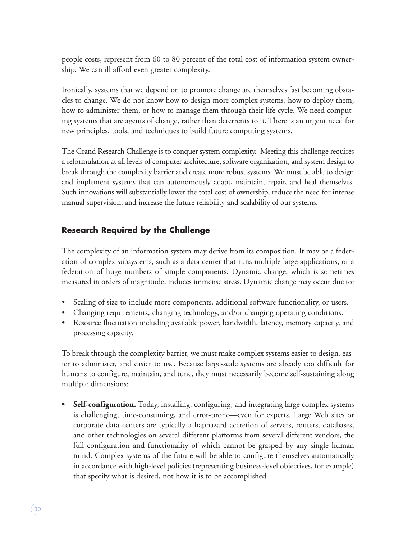people costs, represent from 60 to 80 percent of the total cost of information system ownership. We can ill afford even greater complexity.

Ironically, systems that we depend on to promote change are themselves fast becoming obstacles to change. We do not know how to design more complex systems, how to deploy them, how to administer them, or how to manage them through their life cycle. We need computing systems that are agents of change, rather than deterrents to it. There is an urgent need for new principles, tools, and techniques to build future computing systems.

The Grand Research Challenge is to conquer system complexity. Meeting this challenge requires a reformulation at all levels of computer architecture, software organization, and system design to break through the complexity barrier and create more robust systems. We must be able to design and implement systems that can autonomously adapt, maintain, repair, and heal themselves. Such innovations will substantially lower the total cost of ownership, reduce the need for intense manual supervision, and increase the future reliability and scalability of our systems.

# **Research Required by the Challenge**

The complexity of an information system may derive from its composition. It may be a federation of complex subsystems, such as a data center that runs multiple large applications, or a federation of huge numbers of simple components. Dynamic change, which is sometimes measured in orders of magnitude, induces immense stress. Dynamic change may occur due to:

- Scaling of size to include more components, additional software functionality, or users.
- Changing requirements, changing technology, and/or changing operating conditions.
- Resource fluctuation including available power, bandwidth, latency, memory capacity, and processing capacity.

To break through the complexity barrier, we must make complex systems easier to design, easier to administer, and easier to use. Because large-scale systems are already too difficult for humans to configure, maintain, and tune, they must necessarily become self-sustaining along multiple dimensions:

• **Self-configuration.** Today, installing, configuring, and integrating large complex systems is challenging, time-consuming, and error-prone—even for experts. Large Web sites or corporate data centers are typically a haphazard accretion of servers, routers, databases, and other technologies on several different platforms from several different vendors, the full configuration and functionality of which cannot be grasped by any single human mind. Complex systems of the future will be able to configure themselves automatically in accordance with high-level policies (representing business-level objectives, for example) that specify what is desired, not how it is to be accomplished.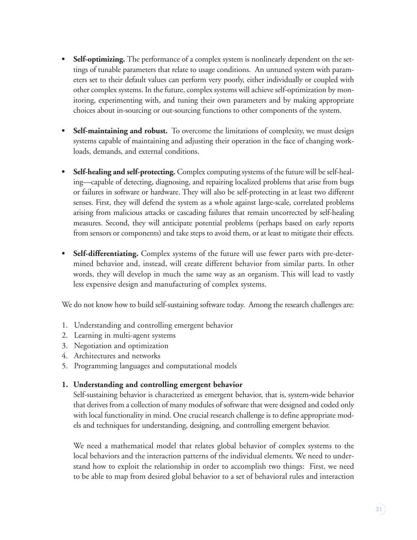- **Self-optimizing.** The performance of a complex system is nonlinearly dependent on the settings of tunable parameters that relate to usage conditions. An untuned system with parameters set to their default values can perform very poorly, either individually or coupled with other complex systems. In the future, complex systems will achieve self-optimization by monitoring, experimenting with, and tuning their own parameters and by making appropriate choices about in-sourcing or out-sourcing functions to other components of the system.
- **• Self-maintaining and robust.** To overcome the limitations of complexity, we must design systems capable of maintaining and adjusting their operation in the face of changing workloads, demands, and external conditions.
- **• Self-healing and self-protecting.** Complex computing systems of the future will be self-healing—capable of detecting, diagnosing, and repairing localized problems that arise from bugs or failures in software or hardware. They will also be self-protecting in at least two different senses. First, they will defend the system as a whole against large-scale, correlated problems arising from malicious attacks or cascading failures that remain uncorrected by self-healing measures. Second, they will anticipate potential problems (perhaps based on early reports from sensors or components) and take steps to avoid them, or at least to mitigate their effects.
- **• Self-differentiating.** Complex systems of the future will use fewer parts with pre-determined behavior and, instead, will create different behavior from similar parts. In other words, they will develop in much the same way as an organism. This will lead to vastly less expensive design and manufacturing of complex systems.

We do not know how to build self-sustaining software today. Among the research challenges are:

- 1. Understanding and controlling emergent behavior
- 2. Learning in multi-agent systems
- 3. Negotiation and optimization
- 4. Architectures and networks
- 5. Programming languages and computational models

## **1. Understanding and controlling emergent behavior**

Self-sustaining behavior is characterized as emergent behavior, that is, system-wide behavior that derives from a collection of many modules of software that were designed and coded only with local functionality in mind. One crucial research challenge is to define appropriate models and techniques for understanding, designing, and controlling emergent behavior.

We need a mathematical model that relates global behavior of complex systems to the local behaviors and the interaction patterns of the individual elements. We need to understand how to exploit the relationship in order to accomplish two things: First, we need to be able to map from desired global behavior to a set of behavioral rules and interaction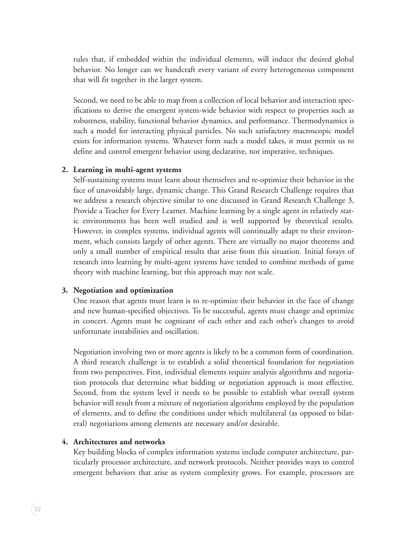rules that, if embedded within the individual elements, will induce the desired global behavior. No longer can we handcraft every variant of every heterogeneous component that will fit together in the larger system.

Second, we need to be able to map from a collection of local behavior and interaction specifications to derive the emergent system-wide behavior with respect to properties such as robustness, stability, functional behavior dynamics, and performance. Thermodynamics is such a model for interacting physical particles. No such satisfactory macroscopic model exists for information systems. Whatever form such a model takes, it must permit us to define and control emergent behavior using declarative, not imperative, techniques.

#### **2. Learning in multi-agent systems**

Self-sustaining systems must learn about themselves and re-optimize their behavior in the face of unavoidably large, dynamic change. This Grand Research Challenge requires that we address a research objective similar to one discussed in Grand Research Challenge 3, Provide a Teacher for Every Learner. Machine learning by a single agent in relatively static environments has been well studied and is well supported by theoretical results. However, in complex systems, individual agents will continually adapt to their environment, which consists largely of other agents. There are virtually no major theorems and only a small number of empirical results that arise from this situation. Initial forays of research into learning by multi-agent systems have tended to combine methods of game theory with machine learning, but this approach may not scale.

#### **3. Negotiation and optimization**

One reason that agents must learn is to re-optimize their behavior in the face of change and new human-specified objectives. To be successful, agents must change and optimize in concert. Agents must be cognizant of each other and each other's changes to avoid unfortunate instabilities and oscillation.

Negotiation involving two or more agents is likely to be a common form of coordination. A third research challenge is to establish a solid theoretical foundation for negotiation from two perspectives. First, individual elements require analysis algorithms and negotiation protocols that determine what bidding or negotiation approach is most effective. Second, from the system level it needs to be possible to establish what overall system behavior will result from a mixture of negotiation algorithms employed by the population of elements, and to define the conditions under which multilateral (as opposed to bilateral) negotiations among elements are necessary and/or desirable.

## **4. Architectures and networks**

Key building blocks of complex information systems include computer architecture, particularly processor architecture, and network protocols. Neither provides ways to control emergent behaviors that arise as system complexity grows. For example, processors are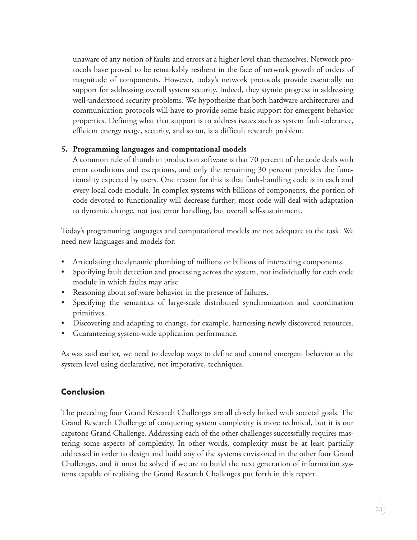unaware of any notion of faults and errors at a higher level than themselves. Network protocols have proved to be remarkably resilient in the face of network growth of orders of magnitude of components. However, today's network protocols provide essentially no support for addressing overall system security. Indeed, they stymie progress in addressing well-understood security problems. We hypothesize that both hardware architectures and communication protocols will have to provide some basic support for emergent behavior properties. Defining what that support is to address issues such as system fault-tolerance, efficient energy usage, security, and so on, is a difficult research problem.

## **5. Programming languages and computational models**

A common rule of thumb in production software is that 70 percent of the code deals with error conditions and exceptions, and only the remaining 30 percent provides the functionality expected by users. One reason for this is that fault-handling code is in each and every local code module. In complex systems with billions of components, the portion of code devoted to functionality will decrease further; most code will deal with adaptation to dynamic change, not just error handling, but overall self-sustainment.

Today's programming languages and computational models are not adequate to the task. We need new languages and models for:

- Articulating the dynamic plumbing of millions or billions of interacting components.
- Specifying fault detection and processing across the system, not individually for each code module in which faults may arise.
- Reasoning about software behavior in the presence of failures.
- Specifying the semantics of large-scale distributed synchronization and coordination primitives.
- Discovering and adapting to change, for example, harnessing newly discovered resources.
- Guaranteeing system-wide application performance.

As was said earlier, we need to develop ways to define and control emergent behavior at the system level using declarative, not imperative, techniques.

# **Conclusion**

The preceding four Grand Research Challenges are all closely linked with societal goals. The Grand Research Challenge of conquering system complexity is more technical, but it is our capstone Grand Challenge. Addressing each of the other challenges successfully requires mastering some aspects of complexity. In other words, complexity must be at least partially addressed in order to design and build any of the systems envisioned in the other four Grand Challenges, and it must be solved if we are to build the next generation of information systems capable of realizing the Grand Research Challenges put forth in this report.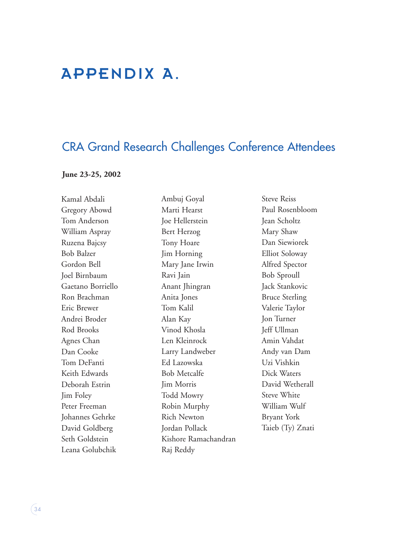# APPENDIX A.

# CRA Grand Research Challenges Conference Attendees

#### **June 23-25, 2002**

Kamal Abdali Gregory Abowd Tom Anderson William Aspray Ruzena Bajcsy Bob Balzer Gordon Bell Joel Birnbaum Gaetano Borriello Ron Brachman Eric Brewer Andrei Broder Rod Brooks Agnes Chan Dan Cooke Tom DeFanti Keith Edwards Deborah Estrin Jim Foley Peter Freeman Johannes Gehrke David Goldberg Seth Goldstein Leana Golubchik

Ambuj Goyal Marti Hearst Joe Hellerstein Bert Herzog Tony Hoare Jim Horning Mary Jane Irwin Ravi Jain Anant Jhingran Anita Jones Tom Kalil Alan Kay Vinod Khosla Len Kleinrock Larry Landweber Ed Lazowska Bob Metcalfe Jim Morris Todd Mowry Robin Murphy Rich Newton Jordan Pollack Kishore Ramachandran Raj Reddy

Steve Reiss Paul Rosenbloom Jean Scholtz Mary Shaw Dan Siewiorek Elliot Soloway Alfred Spector Bob Sproull Jack Stankovic Bruce Sterling Valerie Taylor Jon Turner Jeff Ullman Amin Vahdat Andy van Dam Uzi Vishkin Dick Waters David Wetherall Steve White William Wulf Bryant York Taieb (Ty) Znati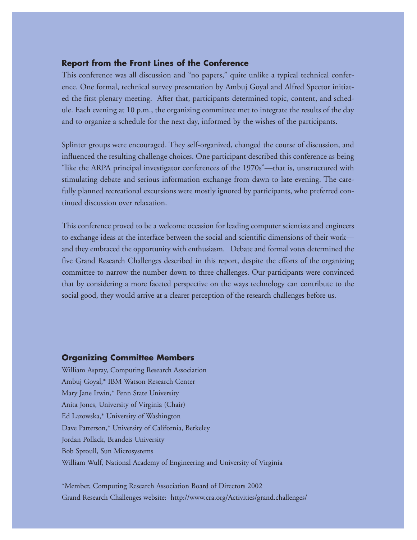## **Report from the Front Lines of the Conference**

This conference was all discussion and "no papers," quite unlike a typical technical conference. One formal, technical survey presentation by Ambuj Goyal and Alfred Spector initiated the first plenary meeting. After that, participants determined topic, content, and schedule. Each evening at 10 p.m., the organizing committee met to integrate the results of the day and to organize a schedule for the next day, informed by the wishes of the participants.

Splinter groups were encouraged. They self-organized, changed the course of discussion, and influenced the resulting challenge choices. One participant described this conference as being "like the ARPA principal investigator conferences of the 1970s"—that is, unstructured with stimulating debate and serious information exchange from dawn to late evening. The carefully planned recreational excursions were mostly ignored by participants, who preferred continued discussion over relaxation.

This conference proved to be a welcome occasion for leading computer scientists and engineers to exchange ideas at the interface between the social and scientific dimensions of their work and they embraced the opportunity with enthusiasm. Debate and formal votes determined the five Grand Research Challenges described in this report, despite the efforts of the organizing committee to narrow the number down to three challenges. Our participants were convinced that by considering a more faceted perspective on the ways technology can contribute to the social good, they would arrive at a clearer perception of the research challenges before us.

#### **Organizing Committee Members**

William Aspray, Computing Research Association Ambuj Goyal,\* IBM Watson Research Center Mary Jane Irwin,\* Penn State University Anita Jones, University of Virginia (Chair) Ed Lazowska,\* University of Washington Dave Patterson,\* University of California, Berkeley Jordan Pollack, Brandeis University Bob Sproull, Sun Microsystems William Wulf, National Academy of Engineering and University of Virginia

\*Member, Computing Research Association Board of Directors 2002 Grand Research Challenges website: http://www.cra.org/Activities/grand.challenges/